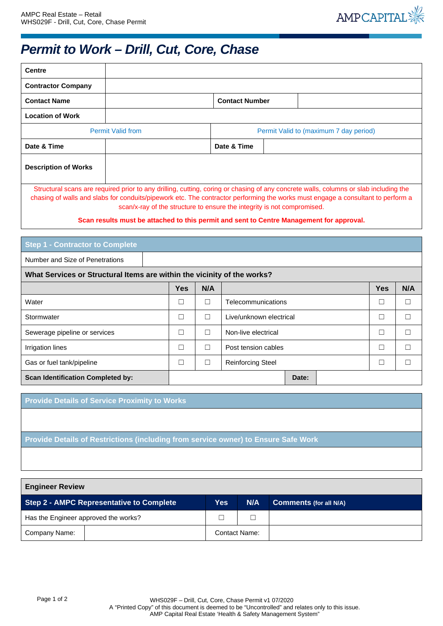

## *Permit to Work – Drill, Cut, Core, Chase*

| <b>Centre</b>                                                                                                                                                                                                                                                                                                                                                                                                                                  |                          |                                        |  |  |
|------------------------------------------------------------------------------------------------------------------------------------------------------------------------------------------------------------------------------------------------------------------------------------------------------------------------------------------------------------------------------------------------------------------------------------------------|--------------------------|----------------------------------------|--|--|
| <b>Contractor Company</b>                                                                                                                                                                                                                                                                                                                                                                                                                      |                          |                                        |  |  |
| <b>Contact Name</b>                                                                                                                                                                                                                                                                                                                                                                                                                            |                          | <b>Contact Number</b>                  |  |  |
| <b>Location of Work</b>                                                                                                                                                                                                                                                                                                                                                                                                                        |                          |                                        |  |  |
|                                                                                                                                                                                                                                                                                                                                                                                                                                                | <b>Permit Valid from</b> | Permit Valid to (maximum 7 day period) |  |  |
| Date & Time                                                                                                                                                                                                                                                                                                                                                                                                                                    |                          | Date & Time                            |  |  |
| <b>Description of Works</b>                                                                                                                                                                                                                                                                                                                                                                                                                    |                          |                                        |  |  |
| Structural scans are required prior to any drilling, cutting, coring or chasing of any concrete walls, columns or slab including the<br>chasing of walls and slabs for conduits/pipework etc. The contractor performing the works must engage a consultant to perform a<br>scan/x-ray of the structure to ensure the integrity is not compromised.<br>Scan results must be attached to this permit and sent to Centre Management for approval. |                          |                                        |  |  |

| <b>Step 1 - Contractor to Complete</b>                                  |            |        |                          |            |     |  |
|-------------------------------------------------------------------------|------------|--------|--------------------------|------------|-----|--|
| Number and Size of Penetrations                                         |            |        |                          |            |     |  |
| What Services or Structural Items are within the vicinity of the works? |            |        |                          |            |     |  |
|                                                                         | <b>Yes</b> | N/A    |                          | <b>Yes</b> | N/A |  |
| Water                                                                   | □          | $\Box$ | Telecommunications       |            |     |  |
| Stormwater                                                              | □          | Г      | Live/unknown electrical  |            |     |  |
| Sewerage pipeline or services                                           | □          | Г      | Non-live electrical      |            |     |  |
| Irrigation lines                                                        | □          | Е      | Post tension cables      |            |     |  |
| Gas or fuel tank/pipeline                                               |            | $\Box$ | <b>Reinforcing Steel</b> |            |     |  |
| <b>Scan Identification Completed by:</b>                                |            |        | Date:                    |            |     |  |

**Provide Details of Service Proximity to Works**

**Provide Details of Restrictions (including from service owner) to Ensure Safe Work**

| <b>Engineer Review</b>                          |  |                      |                               |  |
|-------------------------------------------------|--|----------------------|-------------------------------|--|
| <b>Step 2 - AMPC Representative to Complete</b> |  | N/A                  | <b>Comments (for all N/A)</b> |  |
| Has the Engineer approved the works?            |  |                      |                               |  |
| Company Name:                                   |  | <b>Contact Name:</b> |                               |  |